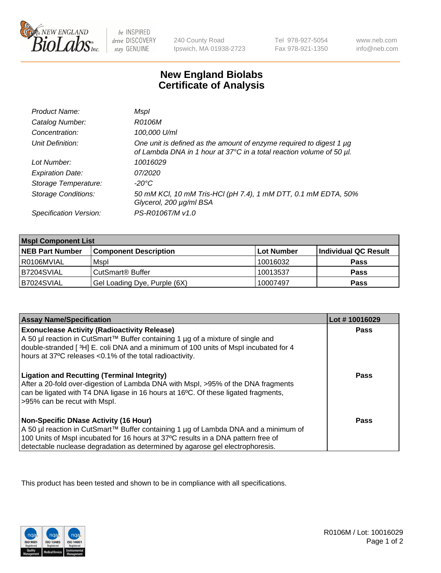

 $be$  INSPIRED drive DISCOVERY stay GENUINE

240 County Road Ipswich, MA 01938-2723 Tel 978-927-5054 Fax 978-921-1350

www.neb.com info@neb.com

## **New England Biolabs Certificate of Analysis**

| Product Name:           | Mspl                                                                                                                                             |
|-------------------------|--------------------------------------------------------------------------------------------------------------------------------------------------|
| Catalog Number:         | R0106M                                                                                                                                           |
| Concentration:          | 100,000 U/ml                                                                                                                                     |
| Unit Definition:        | One unit is defined as the amount of enzyme required to digest 1 $\mu$ g<br>of Lambda DNA in 1 hour at 37°C in a total reaction volume of 50 µl. |
| Lot Number:             | 10016029                                                                                                                                         |
| <b>Expiration Date:</b> | 07/2020                                                                                                                                          |
| Storage Temperature:    | -20°C                                                                                                                                            |
| Storage Conditions:     | 50 mM KCl, 10 mM Tris-HCl (pH 7.4), 1 mM DTT, 0.1 mM EDTA, 50%<br>Glycerol, 200 µg/ml BSA                                                        |
| Specification Version:  | PS-R0106T/M v1.0                                                                                                                                 |

| <b>Mspl Component List</b> |                              |                   |                      |  |
|----------------------------|------------------------------|-------------------|----------------------|--|
| <b>NEB Part Number</b>     | <b>Component Description</b> | <b>Lot Number</b> | Individual QC Result |  |
| R0106MVIAL                 | Mspl                         | 10016032          | <b>Pass</b>          |  |
| B7204SVIAL                 | CutSmart <sup>®</sup> Buffer | 10013537          | <b>Pass</b>          |  |
| B7024SVIAL                 | Gel Loading Dye, Purple (6X) | 10007497          | <b>Pass</b>          |  |

| <b>Assay Name/Specification</b>                                                                                                                                                                                                                                                                             | Lot #10016029 |
|-------------------------------------------------------------------------------------------------------------------------------------------------------------------------------------------------------------------------------------------------------------------------------------------------------------|---------------|
| <b>Exonuclease Activity (Radioactivity Release)</b><br>  A 50 µl reaction in CutSmart™ Buffer containing 1 µg of a mixture of single and<br>double-stranded [3H] E. coli DNA and a minimum of 100 units of Mspl incubated for 4<br>hours at 37°C releases <0.1% of the total radioactivity.                 | Pass          |
| <b>Ligation and Recutting (Terminal Integrity)</b><br>After a 20-fold over-digestion of Lambda DNA with Mspl, >95% of the DNA fragments<br>can be ligated with T4 DNA ligase in 16 hours at 16 <sup>o</sup> C. Of these ligated fragments,<br>>95% can be recut with Mspl.                                  | Pass          |
| <b>Non-Specific DNase Activity (16 Hour)</b><br>  A 50 µl reaction in CutSmart™ Buffer containing 1 µg of Lambda DNA and a minimum of<br>100 Units of Mspl incubated for 16 hours at 37°C results in a DNA pattern free of<br>detectable nuclease degradation as determined by agarose gel electrophoresis. | Pass          |

This product has been tested and shown to be in compliance with all specifications.